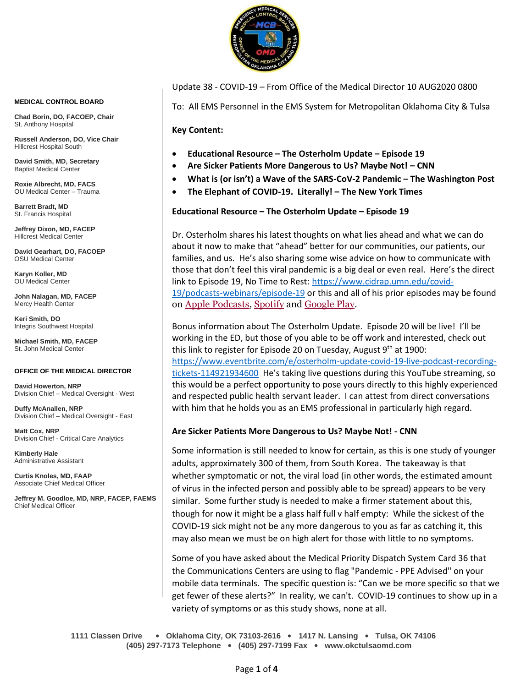

Update 38 - COVID-19 – From Office of the Medical Director 10 AUG2020 0800

To: All EMS Personnel in the EMS System for Metropolitan Oklahoma City & Tulsa

**Key Content:**

- **Educational Resource – The Osterholm Update – Episode 19**
- **Are Sicker Patients More Dangerous to Us? Maybe Not! – CNN**
- **What is (or isn't) a Wave of the SARS-CoV-2 Pandemic – The Washington Post**
- **The Elephant of COVID-19. Literally! – The New York Times**

**Educational Resource – The Osterholm Update – Episode 19**

Dr. Osterholm shares his latest thoughts on what lies ahead and what we can do about it now to make that "ahead" better for our communities, our patients, our families, and us. He's also sharing some wise advice on how to communicate with those that don't feel this viral pandemic is a big deal or even real. Here's the direct link to Episode 19, No Time to Rest: [https://www.cidrap.umn.edu/covid-](https://www.cidrap.umn.edu/covid-19/podcasts-webinars/episode-19)[19/podcasts-webinars/episode-19](https://www.cidrap.umn.edu/covid-19/podcasts-webinars/episode-19) or this and all of his prior episodes may be found on [Apple Podcasts,](https://podcasts.apple.com/us/podcast/the-osterholm-update-covid-19/id1504360345) [Spotify](https://open.spotify.com/show/0ymlroFYVlSAnoq0uqECGx) and [Google Play.](https://play.google.com/music/listen#/ps/I3fioaqqcke5hdct6rzyryvyysa)

Bonus information about The Osterholm Update. Episode 20 will be live! I'll be working in the ED, but those of you able to be off work and interested, check out this link to register for Episode 20 on Tuesday, August  $9<sup>th</sup>$  at 1900: [https://www.eventbrite.com/e/osterholm-update-covid-19-live-podcast-recording](https://www.eventbrite.com/e/osterholm-update-covid-19-live-podcast-recording-tickets-114921934600)[tickets-114921934600](https://www.eventbrite.com/e/osterholm-update-covid-19-live-podcast-recording-tickets-114921934600) He's taking live questions during this YouTube streaming, so this would be a perfect opportunity to pose yours directly to this highly experienced and respected public health servant leader. I can attest from direct conversations with him that he holds you as an EMS professional in particularly high regard.

## **Are Sicker Patients More Dangerous to Us? Maybe Not! - CNN**

Some information is still needed to know for certain, as this is one study of younger adults, approximately 300 of them, from South Korea. The takeaway is that whether symptomatic or not, the viral load (in other words, the estimated amount of virus in the infected person and possibly able to be spread) appears to be very similar. Some further study is needed to make a firmer statement about this, though for now it might be a glass half full v half empty: While the sickest of the COVID-19 sick might not be any more dangerous to you as far as catching it, this may also mean we must be on high alert for those with little to no symptoms.

Some of you have asked about the Medical Priority Dispatch System Card 36 that the Communications Centers are using to flag "Pandemic - PPE Advised" on your mobile data terminals. The specific question is: "Can we be more specific so that we get fewer of these alerts?" In reality, we can't. COVID-19 continues to show up in a variety of symptoms or as this study shows, none at all.

**1111 Classen Drive** • **Oklahoma City, OK 73103-2616** • **1417 N. Lansing** • **Tulsa, OK 74106 (405) 297-7173 Telephone** • **(405) 297-7199 Fax** • **www.okctulsaomd.com**

#### **MEDICAL CONTROL BOARD**

**Chad Borin, DO, FACOEP, Chair**  St. Anthony Hospital

**Russell Anderson, DO, Vice Chair** Hillcrest Hospital South

**David Smith, MD, Secretary** Baptist Medical Center

**Roxie Albrecht, MD, FACS** OU Medical Center – Trauma

**Barrett Bradt, MD** St. Francis Hospital

**Jeffrey Dixon, MD, FACEP** Hillcrest Medical Center

**David Gearhart, DO, FACOEP** OSU Medical Center

**Karyn Koller, MD** OU Medical Center

**John Nalagan, MD, FACEP** Mercy Health Center

**Keri Smith, DO** Integris Southwest Hospital

**Michael Smith, MD, FACEP** St. John Medical Center

#### **OFFICE OF THE MEDICAL DIRECTOR**

**David Howerton, NRP** Division Chief – Medical Oversight - West

**Duffy McAnallen, NRP** Division Chief – Medical Oversight - East

**Matt Cox, NRP** Division Chief - Critical Care Analytics

**Kimberly Hale** Administrative Assistant

**Curtis Knoles, MD, FAAP** Associate Chief Medical Officer

**Jeffrey M. Goodloe, MD, NRP, FACEP, FAEMS** Chief Medical Officer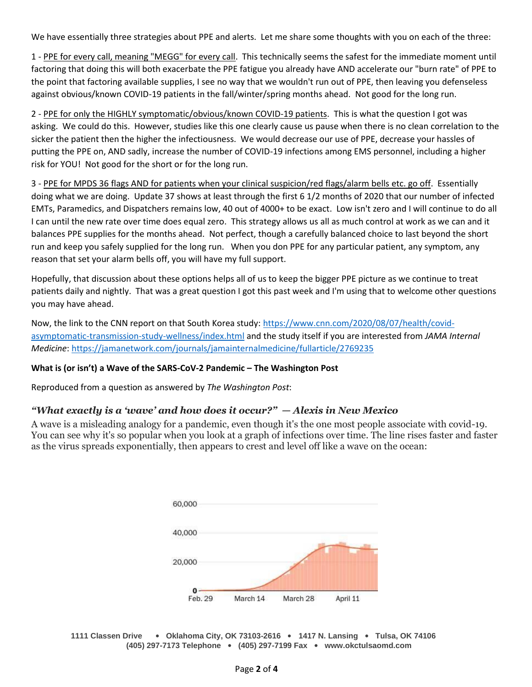We have essentially three strategies about PPE and alerts. Let me share some thoughts with you on each of the three:

1 - PPE for every call, meaning "MEGG" for every call. This technically seems the safest for the immediate moment until factoring that doing this will both exacerbate the PPE fatigue you already have AND accelerate our "burn rate" of PPE to the point that factoring available supplies, I see no way that we wouldn't run out of PPE, then leaving you defenseless against obvious/known COVID-19 patients in the fall/winter/spring months ahead. Not good for the long run.

2 - PPE for only the HIGHLY symptomatic/obvious/known COVID-19 patients. This is what the question I got was asking. We could do this. However, studies like this one clearly cause us pause when there is no clean correlation to the sicker the patient then the higher the infectiousness. We would decrease our use of PPE, decrease your hassles of putting the PPE on, AND sadly, increase the number of COVID-19 infections among EMS personnel, including a higher risk for YOU! Not good for the short or for the long run.

3 - PPE for MPDS 36 flags AND for patients when your clinical suspicion/red flags/alarm bells etc. go off. Essentially doing what we are doing. Update 37 shows at least through the first 6 1/2 months of 2020 that our number of infected EMTs, Paramedics, and Dispatchers remains low, 40 out of 4000+ to be exact. Low isn't zero and I will continue to do all I can until the new rate over time does equal zero. This strategy allows us all as much control at work as we can and it balances PPE supplies for the months ahead. Not perfect, though a carefully balanced choice to last beyond the short run and keep you safely supplied for the long run. When you don PPE for any particular patient, any symptom, any reason that set your alarm bells off, you will have my full support.

Hopefully, that discussion about these options helps all of us to keep the bigger PPE picture as we continue to treat patients daily and nightly. That was a great question I got this past week and I'm using that to welcome other questions you may have ahead.

Now, the link to the CNN report on that South Korea study: [https://www.cnn.com/2020/08/07/health/covid](https://www.cnn.com/2020/08/07/health/covid-asymptomatic-transmission-study-wellness/index.html)[asymptomatic-transmission-study-wellness/index.html](https://www.cnn.com/2020/08/07/health/covid-asymptomatic-transmission-study-wellness/index.html) and the study itself if you are interested from *JAMA Internal Medicine*: <https://jamanetwork.com/journals/jamainternalmedicine/fullarticle/2769235>

## **What is (or isn't) a Wave of the SARS-CoV-2 Pandemic – The Washington Post**

Reproduced from a question as answered by *The Washington Post*:

# *"What exactly is a 'wave' and how does it occur?" — Alexis in New Mexico*

A wave is a misleading analogy for a pandemic, even though it's the one most people associate with covid-19. You can see why it's so popular when you look at a graph of infections over time. The line rises faster and faster as the virus spreads exponentially, then appears to crest and level off like a wave on the ocean:



**1111 Classen Drive** • **Oklahoma City, OK 73103-2616** • **1417 N. Lansing** • **Tulsa, OK 74106 (405) 297-7173 Telephone** • **(405) 297-7199 Fax** • **www.okctulsaomd.com**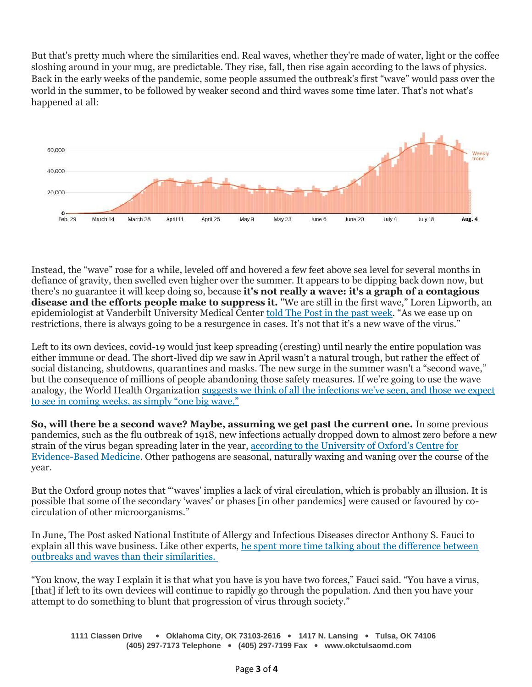But that's pretty much where the similarities end. Real waves, whether they're made of water, light or the coffee sloshing around in your mug, are predictable. They rise, fall, then rise again according to the laws of physics. Back in the early weeks of the pandemic, some people assumed the outbreak's first "wave" would pass over the world in the summer, to be followed by weaker second and third waves some time later. That's not what's happened at all:



Instead, the "wave" rose for a while, leveled off and hovered a few feet above sea level for several months in defiance of gravity, then swelled even higher over the summer. It appears to be dipping back down now, but there's no guarantee it will keep doing so, because **it's not really a wave: it's a graph of a contagious disease and the efforts people make to suppress it.** "We are still in the first wave," Loren Lipworth, an epidemiologist at Vanderbilt University Medical Center [told The Post in the past week](https://s2.washingtonpost.com/2ac2b74/5f29c300fe1ff65e117572b9/5f132bcaade4e276b3a570a8/25/53/bfa6ac3805ba12737870dff12d432257). "As we ease up on restrictions, there is always going to be a resurgence in cases. It's not that it's a new wave of the virus."

Left to its own devices, covid-19 would just keep spreading (cresting) until nearly the entire population was either immune or dead. The short-lived dip we saw in April wasn't a natural trough, but rather the effect of social distancing, shutdowns, quarantines and masks. The new surge in the summer wasn't a "second wave," but the consequence of millions of people abandoning those safety measures. If we're going to use the wave analogy, the World Health Organization [suggests we think of all the infections we've seen, and those we expect](https://s2.washingtonpost.com/2ad3f6c/5f29c300fe1ff65e117572b9/5f132bcaade4e276b3a570a8/26/53/bfa6ac3805ba12737870dff12d432257)  to see in comi[ng weeks, as simply "one big wave."](https://s2.washingtonpost.com/2ad3f6c/5f29c300fe1ff65e117572b9/5f132bcaade4e276b3a570a8/26/53/bfa6ac3805ba12737870dff12d432257)

**So, will there be a second wave? Maybe, assuming we get past the current one.** In some previous pandemics, such as the flu outbreak of 1918, new infections actually dropped down to almost zero before a new strain of the virus began spreading later in the year, [according to the University of Oxford's Centre for](https://s2.washingtonpost.com/2ad3f6d/5f29c300fe1ff65e117572b9/5f132bcaade4e276b3a570a8/27/53/bfa6ac3805ba12737870dff12d432257)  [Evidence-Based Medicine.](https://s2.washingtonpost.com/2ad3f6d/5f29c300fe1ff65e117572b9/5f132bcaade4e276b3a570a8/27/53/bfa6ac3805ba12737870dff12d432257) Other pathogens are seasonal, naturally waxing and waning over the course of the year.

But the Oxford group notes that "'waves' implies a lack of viral circulation, which is probably an illusion. It is possible that some of the secondary 'waves' or phases [in other pandemics] were caused or favoured by cocirculation of other microorganisms."

In June, The Post asked National Institute of Allergy and Infectious Diseases director Anthony S. Fauci to explain all this wave business. Like other experts, he spent more time talking about the difference between [outbreaks and waves than their similarities.](https://s2.washingtonpost.com/29f7e05/5f29c300fe1ff65e117572b9/5f132bcaade4e276b3a570a8/28/53/bfa6ac3805ba12737870dff12d432257)

"You know, the way I explain it is that what you have is you have two forces," Fauci said. "You have a virus, [that] if left to its own devices will continue to rapidly go through the population. And then you have your attempt to do something to blunt that progression of virus through society."